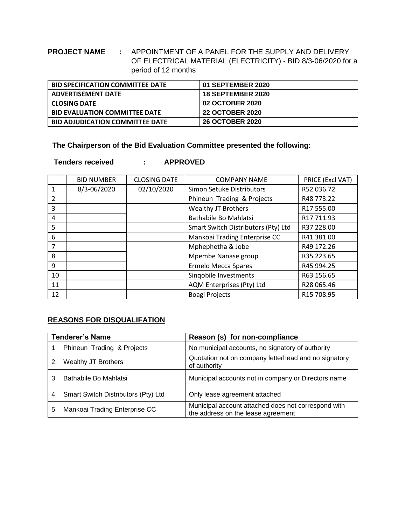## **PROJECT NAME :** APPOINTMENT OF A PANEL FOR THE SUPPLY AND DELIVERY OF ELECTRICAL MATERIAL (ELECTRICITY) - BID 8/3-06/2020 for a period of 12 months

| <b>BID SPECIFICATION COMMITTEE DATE</b> | 01 SEPTEMBER 2020        |
|-----------------------------------------|--------------------------|
| <b>ADVERTISEMENT DATE</b>               | <b>18 SEPTEMBER 2020</b> |
| <b>CLOSING DATE</b>                     | <b>02 OCTOBER 2020</b>   |
| <b>BID EVALUATION COMMITTEE DATE</b>    | <b>22 OCTOBER 2020</b>   |
| <b>BID ADJUDICATION COMMITTEE DATE</b>  | <b>26 OCTOBER 2020</b>   |

**The Chairperson of the Bid Evaluation Committee presented the following:**

 **Tenders received : APPROVED**

|                | <b>BID NUMBER</b> | <b>CLOSING DATE</b> | <b>COMPANY NAME</b>                 | PRICE (Excl VAT) |
|----------------|-------------------|---------------------|-------------------------------------|------------------|
| 1              | 8/3-06/2020       | 02/10/2020          | Simon Setuke Distributors           | R52 036.72       |
| $\overline{2}$ |                   |                     | Phineun Trading & Projects          | R48 773.22       |
| $\overline{3}$ |                   |                     | <b>Wealthy JT Brothers</b>          | R17 555.00       |
| 4              |                   |                     | Bathabile Bo Mahlatsi               | R17 711.93       |
| 5              |                   |                     | Smart Switch Distributors (Pty) Ltd | R37 228.00       |
| 6              |                   |                     | Mankoai Trading Enterprise CC       | R41 381.00       |
| $\overline{7}$ |                   |                     | Mphephetha & Jobe                   | R49 172.26       |
| 8              |                   |                     | Mpembe Nanase group                 | R35 223.65       |
| 9              |                   |                     | <b>Ermelo Mecca Spares</b>          | R45 994.25       |
| 10             |                   |                     | Singobile Investments               | R63 156.65       |
| 11             |                   |                     | AQM Enterprises (Pty) Ltd           | R28 065.46       |
| 12             |                   |                     | <b>Boagi Projects</b>               | R15 708.95       |

## **REASONS FOR DISQUALIFATION**

| <b>Tenderer's Name</b> |                                     | Reason (s) for non-compliance                                                             |  |  |
|------------------------|-------------------------------------|-------------------------------------------------------------------------------------------|--|--|
|                        | Phineun Trading & Projects          | No municipal accounts, no signatory of authority                                          |  |  |
| 2.                     | Wealthy JT Brothers                 | Quotation not on company letterhead and no signatory<br>of authority                      |  |  |
|                        | Bathabile Bo Mahlatsi               | Municipal accounts not in company or Directors name                                       |  |  |
| 4.                     | Smart Switch Distributors (Pty) Ltd | Only lease agreement attached                                                             |  |  |
| 5.                     | Mankoai Trading Enterprise CC       | Municipal account attached does not correspond with<br>the address on the lease agreement |  |  |